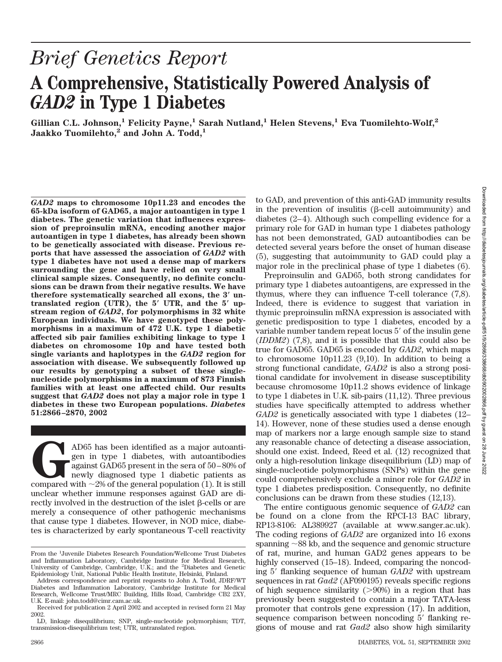# *Brief Genetics Report* **A Comprehensive, Statistically Powered Analysis of** *GAD2* **in Type 1 Diabetes**

**Gillian C.L. Johnson,1 Felicity Payne,1 Sarah Nutland,1 Helen Stevens,1 Eva Tuomilehto-Wolf,2 Jaakko Tuomilehto,2 and John A. Todd,1**

*GAD2* **maps to chromosome 10p11.23 and encodes the 65-kDa isoform of GAD65, a major autoantigen in type 1 diabetes. The genetic variation that influences expression of preproinsulin mRNA, encoding another major autoantigen in type 1 diabetes, has already been shown to be genetically associated with disease. Previous reports that have assessed the association of** *GAD2* **with type 1 diabetes have not used a dense map of markers surrounding the gene and have relied on very small clinical sample sizes. Consequently, no definite conclusions can be drawn from their negative results. We have therefore systematically searched all exons, the 3 untranslated region (UTR), the 5 UTR, and the 5 upstream region of** *GAD2***, for polymorphisms in 32 white European individuals. We have genotyped these polymorphisms in a maximum of 472 U.K. type 1 diabetic affected sib pair families exhibiting linkage to type 1 diabetes on chromosome 10p and have tested both single variants and haplotypes in the** *GAD2* **region for association with disease. We subsequently followed up our results by genotyping a subset of these singlenucleotide polymorphisms in a maximum of 873 Finnish families with at least one affected child. Our results suggest that** *GAD2* **does not play a major role in type 1 diabetes in these two European populations.** *Diabetes* **51:2866–2870, 2002**

AD65 has been identified as a major autoanti-<br>gen in type 1 diabetes, with autoantibodies<br>against GAD65 present in the sera of 50–80% of<br>newly diagnosed type 1 diabetic patients as<br>compared with  $\sim$ 2% of the general popu gen in type 1 diabetes, with autoantibodies against GAD65 present in the sera of 50–80% of newly diagnosed type 1 diabetic patients as unclear whether immune responses against GAD are directly involved in the destruction of the islet  $\beta$ -cells or are merely a consequence of other pathogenic mechanisms that cause type 1 diabetes. However, in NOD mice, diabetes is characterized by early spontaneous T-cell reactivity to GAD, and prevention of this anti-GAD immunity results in the prevention of insulitis  $(\beta$ -cell autoimmunity) and diabetes (2–4). Although such compelling evidence for a primary role for GAD in human type 1 diabetes pathology has not been demonstrated, GAD autoantibodies can be detected several years before the onset of human disease (5), suggesting that autoimmunity to GAD could play a major role in the preclinical phase of type 1 diabetes (6).

Preproinsulin and GAD65, both strong candidates for primary type 1 diabetes autoantigens, are expressed in the thymus, where they can influence T-cell tolerance (7,8). Indeed, there is evidence to suggest that variation in thymic preproinsulin mRNA expression is associated with genetic predisposition to type 1 diabetes, encoded by a variable number tandem repeat locus 5' of the insulin gene (*IDDM2*) (7,8), and it is possible that this could also be true for GAD65. GAD65 is encoded by *GAD2*, which maps to chromosome 10p11.23 (9,10). In addition to being a strong functional candidate, *GAD2* is also a strong positional candidate for involvement in disease susceptibility because chromosome 10p11.2 shows evidence of linkage to type 1 diabetes in U.K. sib-pairs (11,12). Three previous studies have specifically attempted to address whether *GAD2* is genetically associated with type 1 diabetes (12– 14). However, none of these studies used a dense enough map of markers nor a large enough sample size to stand any reasonable chance of detecting a disease association, should one exist. Indeed, Reed et al. (12) recognized that only a high-resolution linkage disequilibrium (LD) map of single-nucleotide polymorphisms (SNPs) within the gene could comprehensively exclude a minor role for *GAD2* in type 1 diabetes predisposition. Consequently, no definite conclusions can be drawn from these studies (12,13).

The entire contiguous genomic sequence of *GAD2* can be found on a clone from the RPCI-13 BAC library, RP13-8106: AL389927 (available at www.sanger.ac.uk). The coding regions of *GAD2* are organized into 16 exons spanning  $\sim$ 88 kb, and the sequence and genomic structure of rat, murine, and human GAD2 genes appears to be highly conserved (15–18). Indeed, comparing the noncoding 5' flanking sequence of human *GAD2* with upstream sequences in rat *Gad2* (AF090195) reveals specific regions of high sequence similarity  $(>90%)$  in a region that has previously been suggested to contain a major TATA-less promoter that controls gene expression (17). In addition, sequence comparison between noncoding 5' flanking regions of mouse and rat *Gad2* also show high similarity

From the <sup>1</sup>Juvenile Diabetes Research Foundation/Wellcome Trust Diabetes and Inflammation Laboratory, Cambridge Institute for Medical Research, University of Cambridge, Cambridge, U.K.; and the <sup>2</sup>Diabetes and Genetic Epidemiology Unit, National Public Health Institute, Helsinki, Finland.

Address correspondence and reprint requests to John A. Todd, JDRF/WT Diabetes and Inflammation Laboratory, Cambridge Institute for Medical Research, Wellcome Trust/MRC Building, Hills Road, Cambridge CB2 2XY, U.K. E-mail: john.todd@cimr.cam.ac.uk.

Received for publication 2 April 2002 and accepted in revised form 21 May 2002.

LD, linkage disequilibrium; SNP, single-nucleotide polymorphism; TDT, transmission-disequilibrium test; UTR, untranslated region.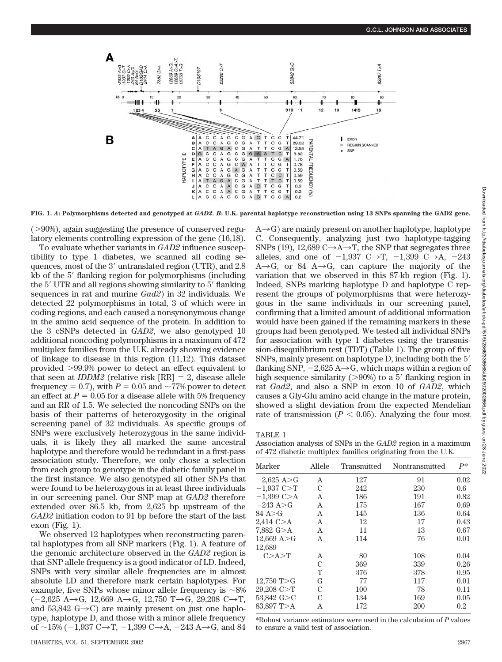

**FIG. 1.** *A***: Polymorphisms detected and genotyped at** *GAD2. B***: U.K. parental haplotype reconstruction using 13 SNPs spanning the GAD2 gene.**

 $(>90\%)$ , again suggesting the presence of conserved regulatory elements controlling expression of the gene (16,18).

To evaluate whether variants in *GAD2* influence susceptibility to type 1 diabetes, we scanned all coding sequences, most of the  $3'$  untranslated region (UTR), and  $2.8$ kb of the 5' flanking region for polymorphisms (including the 5' UTR and all regions showing similarity to 5' flanking sequences in rat and murine *Gad2*) in 32 individuals. We detected 22 polymorphisms in total, 3 of which were in coding regions, and each caused a nonsynonymous change in the amino acid sequence of the protein. In addition to the 3 cSNPs detected in *GAD2*, we also genotyped 10 additional noncoding polymorphisms in a maximum of 472 multiplex families from the U.K. already showing evidence of linkage to disease in this region (11,12). This dataset provided 99.9% power to detect an effect equivalent to that seen at *IDDM2* (relative risk  $[RR] = 2$ , disease allele frequency = 0.7), with  $P = 0.05$  and  $\sim 77\%$  power to detect an effect at  $P = 0.05$  for a disease allele with 5% frequency and an RR of 1.5. We selected the noncoding SNPs on the basis of their patterns of heterozygosity in the original screening panel of 32 individuals. As specific groups of SNPs were exclusively heterozygous in the same individuals, it is likely they all marked the same ancestral haplotype and therefore would be redundant in a first-pass association study. Therefore, we only chose a selection from each group to genotype in the diabetic family panel in the first instance. We also genotyped all other SNPs that were found to be heterozygous in at least three individuals in our screening panel. Our SNP map at *GAD2* therefore extended over 86.5 kb, from 2,625 bp upstream of the *GAD2* initiation codon to 91 bp before the start of the last exon (Fig. 1).

We observed 12 haplotypes when reconstructing parental haplotypes from all SNP markers (Fig. 1). A feature of the genomic architecture observed in the *GAD2* region is that SNP allele frequency is a good indicator of LD. Indeed, SNPs with very similar allele frequencies are in almost absolute LD and therefore mark certain haplotypes. For example, five SNPs whose minor allele frequency is  $\sim$ 8%  $(-2,625 \text{ A} \rightarrow \text{G}, 12,669 \text{ A} \rightarrow \text{G}, 12,750 \text{ T} \rightarrow \text{G}, 29,208 \text{ C} \rightarrow \text{T},$ and 53,842 G $\rightarrow$ C) are mainly present on just one haplotype, haplotype D, and those with a minor allele frequency of  $\sim$ 15% (-1,937 C $\rightarrow$ T, -1,399 C $\rightarrow$ A, -243 A $\rightarrow$ G, and 84  $A\rightarrow G$ ) are mainly present on another haplotype, haplotype C. Consequently, analyzing just two haplotype-tagging SNPs (19), 12,689  $C \rightarrow A \rightarrow T$ , the SNP that segregates three alleles, and one of  $-1,937$  C $\rightarrow$ T,  $-1,399$  C $\rightarrow$ A,  $-243$  $A\rightarrow G$ , or 84  $A\rightarrow G$ , can capture the majority of the variation that we observed in this 87-kb region (Fig. 1). Indeed, SNPs marking haplotype D and haplotype C represent the groups of polymorphisms that were heterozygous in the same individuals in our screening panel, confirming that a limited amount of additional information would have been gained if the remaining markers in these groups had been genotyped. We tested all individual SNPs for association with type 1 diabetes using the transmission-disequilibrium test (TDT) (Table 1). The group of five SNPs, mainly present on haplotype D, including both the 5 flanking SNP,  $-2.625 \text{ A} \rightarrow \text{G}$ , which maps within a region of high sequence similarity ( $>90\%$ ) to a 5' flanking region in rat *Gad2*, and also a SNP in exon 10 of *GAD2*, which causes a Gly-Glu amino acid change in the mature protein, showed a slight deviation from the expected Mendelian rate of transmission  $(P < 0.05)$ . Analyzing the four most

TABLE 1

Association analysis of SNPs in the *GAD2* region in a maximum of 472 diabetic multiplex families originating from the U.K.

| Marker                | Allele | Transmitted | Nontransmitted<br>91<br>230<br>191<br>167<br>136<br>17<br>13<br>76 | $P^*$   |  |
|-----------------------|--------|-------------|--------------------------------------------------------------------|---------|--|
| $-2,625$ A $>$ G      | A      | 127         |                                                                    | 0.02    |  |
| $-1,937$ C $>$ T      | C      | 242         |                                                                    | 0.6     |  |
| $-1,399$ C>A          | A      | 186         |                                                                    | 0.82    |  |
| $-243$ A $>$ G        | A      | 175         |                                                                    | 0.69    |  |
| 84 A>G                | A      | 145         |                                                                    | 0.64    |  |
| $2,414$ C $> A$       | A      | 12          |                                                                    | 0.43    |  |
| $7,882 \text{ G} > A$ | A      | 11          |                                                                    | 0.67    |  |
| 12,669 A>G            | A      | 114         |                                                                    | 0.01    |  |
| 12,689                |        |             |                                                                    |         |  |
| C > A > T             | A      | 80          | 108                                                                | 0.04    |  |
|                       | C      | 369         | 339                                                                | 0.26    |  |
|                       | т      | 376         | 378                                                                | 0.95    |  |
| 12,750 T $>$ G        | G      | 77          | 117                                                                | 0.01    |  |
| 29,208 C>T            | C      | 100         | 78                                                                 | 0.11    |  |
| 53,842 G>C            | C      | 134         | 169                                                                | 0.05    |  |
| 83,897 T>A            | Α      | 172         | 200                                                                | $0.2\,$ |  |

\*Robust variance estimators were used in the calculation of *P* values to ensure a valid test of association.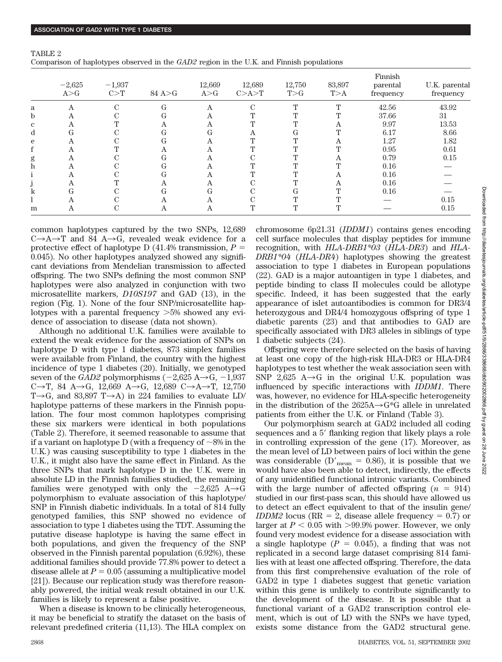| TABLE 2                                                                                  |  |  |
|------------------------------------------------------------------------------------------|--|--|
| Comparison of haplotypes observed in the GAD2 region in the U.K. and Finnish populations |  |  |

|   |                   |                   |          |                 |                     |               |               | Finnish               |                            |
|---|-------------------|-------------------|----------|-----------------|---------------------|---------------|---------------|-----------------------|----------------------------|
|   | $-2,625$<br>A > G | $-1,937$<br>C > T | 84 A > G | 12,669<br>A > G | 12,689<br>C > A > T | 12,750<br>T>G | 83,897<br>T>A | parental<br>frequency | U.K. parental<br>frequency |
| a | Α                 |                   | G        | Α               |                     |               | гr            | 42.56                 | 43.92                      |
| b |                   |                   | G        | Α               |                     |               |               | 37.66                 | 31                         |
| C |                   |                   | А        | Α               |                     |               |               | 9.97                  | 13.53                      |
| d | Uτ                |                   | G        | G               |                     | lτ            |               | 6.17                  | 8.66                       |
| e |                   |                   | G        |                 |                     |               |               | 1.27                  | 1.82                       |
|   |                   |                   |          |                 |                     |               |               | 0.95                  | 0.61                       |
| g |                   |                   | Œτ       |                 |                     |               |               | 0.79                  | 0.15                       |
|   |                   |                   | G        |                 |                     |               |               | 0.16                  |                            |
|   |                   |                   | G        | Α               |                     |               |               | 0.16                  |                            |
|   |                   |                   |          | A               |                     |               | А             | 0.16                  |                            |
|   | ١Ŧ                |                   | G        | G               |                     | lτ            |               | 0.16                  |                            |
|   |                   |                   |          |                 |                     |               |               |                       | 0.15                       |
| m |                   |                   |          | Α               |                     |               |               |                       | 0.15                       |

common haplotypes captured by the two SNPs, 12,689  $C\rightarrow A\rightarrow T$  and 84  $A\rightarrow G$ , revealed weak evidence for a protective effect of haplotype D  $(41.4\%$  transmission,  $P =$ 0.045). No other haplotypes analyzed showed any significant deviations from Mendelian transmission to affected offspring. The two SNPs defining the most common SNP haplotypes were also analyzed in conjunction with two microsatellite markers, *D10S197* and GAD (13), in the region (Fig. 1). None of the four SNP/microsatellite haplotypes with a parental frequency  $>5\%$  showed any evidence of association to disease (data not shown).

Although no additional U.K. families were available to extend the weak evidence for the association of SNPs on haplotype D with type 1 diabetes, 873 simplex families were available from Finland, the country with the highest incidence of type 1 diabetes (20). Initially, we genotyped seven of the *GAD2* polymorphisms  $(-2.625 \text{ A} \rightarrow \text{G}, -1.937)$ C $\rightarrow$ T, 84 A $\rightarrow$ G, 12,669 A $\rightarrow$ G, 12,689 C $\rightarrow$ A $\rightarrow$ T, 12,750 T $\rightarrow$ G, and 83,897 T $\rightarrow$ A) in 224 families to evaluate LD/ haplotype patterns of these markers in the Finnish population. The four most common haplotypes comprising these six markers were identical in both populations (Table 2). Therefore, it seemed reasonable to assume that if a variant on haplotype D (with a frequency of  $\sim$ 8% in the U.K.) was causing susceptibility to type 1 diabetes in the U.K., it might also have the same effect in Finland. As the three SNPs that mark haplotype D in the U.K. were in absolute LD in the Finnish families studied, the remaining families were genotyped with only the  $-2,625$  A $\rightarrow$ G polymorphism to evaluate association of this haplotype/ SNP in Finnish diabetic individuals. In a total of 814 fully genotyped families, this SNP showed no evidence of association to type 1 diabetes using the TDT. Assuming the putative disease haplotype is having the same effect in both populations, and given the frequency of the SNP observed in the Finnish parental population (6.92%), these additional families should provide 77.8% power to detect a disease allele at  $P = 0.05$  (assuming a multiplicative model [21]). Because our replication study was therefore reasonably powered, the initial weak result obtained in our U.K. families is likely to represent a false positive.

When a disease is known to be clinically heterogeneous, it may be beneficial to stratify the dataset on the basis of relevant predefined criteria (11,13). The HLA complex on chromosome 6p21.31 (*IDDM1*) contains genes encoding cell surface molecules that display peptides for immune recognition, with *HLA-DRB1\*03* (*HLA-DR3*) and *HLA-DRB1\*04* (*HLA-DR4*) haplotypes showing the greatest association to type 1 diabetes in European populations (22). GAD is a major autoantigen in type 1 diabetes, and peptide binding to class II molecules could be allotype specific. Indeed, it has been suggested that the early appearance of islet autoantibodies is common for DR3/4 heterozygous and DR4/4 homozygous offspring of type 1 diabetic parents (23) and that antibodies to GAD are specifically associated with DR3 alleles in siblings of type 1 diabetic subjects (24).

Offspring were therefore selected on the basis of having at least one copy of the high-risk HLA-DR3 or HLA-DR4 haplotypes to test whether the weak association seen with SNP 2,625  $A\rightarrow G$  in the original U.K. population was influenced by specific interactions with *IDDM1.* There was, however, no evidence for HLA-specific heterogeneity in the distribution of the  $2625A \rightarrow G*G$  allele in unrelated patients from either the U.K. or Finland (Table 3).

Our polymorphism search at GAD2 included all coding sequences and a 5' flanking region that likely plays a role in controlling expression of the gene (17). Moreover, as the mean level of LD between pairs of loci within the gene was considerable (D'<sub>mean</sub> = 0.86), it is possible that we would have also been able to detect, indirectly, the effects of any unidentified functional intronic variants. Combined with the large number of affected offspring  $(n = 914)$ studied in our first-pass scan, this should have allowed us to detect an effect equivalent to that of the insulin gene/ *IDDM2* locus ( $RR = 2$ , disease allele frequency = 0.7) or larger at  $P < 0.05$  with  $>99.9\%$  power. However, we only found very modest evidence for a disease association with a single haplotype  $(P = 0.045)$ , a finding that was not replicated in a second large dataset comprising 814 families with at least one affected offspring. Therefore, the data from this first comprehensive evaluation of the role of GAD2 in type 1 diabetes suggest that genetic variation within this gene is unlikely to contribute significantly to the development of the disease. It is possible that a functional variant of a GAD2 transcription control element, which is out of LD with the SNPs we have typed, exists some distance from the GAD2 structural gene.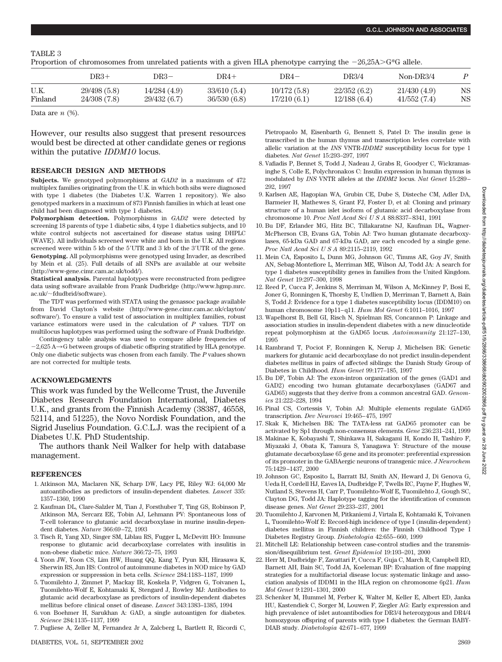## TABLE 3

Proportion of chromosomes from unrelated patients with a given HLA phenotype carrying the  $-26,25A>$ G\*G allele.

|         | DR3+        | DR3–         | DR4+        | DR4–         | DR3/4       | $Non-DR3/4$ |    |
|---------|-------------|--------------|-------------|--------------|-------------|-------------|----|
| U.K.    | 29/498(5.8) | 14/284(4.9)  | 33/610(5.4) | 10/172(5.8)  | 22/352(6.2) | 21/430(4.9) | NS |
| Finland | 24/308(7.8) | 29/432 (6.7) | 36/530(6.8) | 17/210 (6.1) | 12/188(6.4) | 41/552(7.4) | NS |

Data are  $n$  (%).

However, our results also suggest that present resources would best be directed at other candidate genes or regions within the putative *IDDM10* locus.

### **RESEARCH DESIGN AND METHODS**

**Subjects.** We genotyped polymorphisms at *GAD2* in a maximum of 472 multiplex families originating from the U.K. in which both sibs were diagnosed with type 1 diabetes (the Diabetes U.K. Warren 1 repository). We also genotyped markers in a maximum of 873 Finnish families in which at least one child had been diagnosed with type 1 diabetes.

**Polymorphism detection.** Polymorphisms in *GAD2* were detected by screening 18 parents of type 1 diabetic sibs, 4 type 1 diabetics subjects, and 10 white control subjects not ascertained for disease status using DHPLC (WAVE). All individuals screened were white and born in the U.K. All regions screened were within 5 kb of the 5UTR and 3 kb of the 3UTR of the gene. **Genotyping.** All polymorphisms were genotyped using Invader, as described by Mein et al. (25). Full details of all SNPs are available at our website (http://www-gene.cimr.cam.ac.uk/todd/).

**Statistical analysis.** Parental haplotypes were reconstructed from pedigree data using software available from Frank Dudbridge (http://www.hgmp.mrc.  $ac.uk/~fdudbrid/software)$ .

The TDT was performed with STATA using the genassoc package available from David Clayton's website (http://www-gene.cimr.cam.ac.uk/clayton/ software/). To ensure a valid test of association in multiplex families, robust variance estimators were used in the calculation of *P* values. TDT on multilocus haplotypes was performed using the software of Frank Dudbridge.

Contingency table analysis was used to compare allele frequencies of  $-2.625$  A $\rightarrow$ G between groups of diabetic offspring stratified by HLA genotype. Only one diabetic subjects was chosen from each family. The *P* values shown are not corrected for multiple tests.

## **ACKNOWLEDGMENTS**

This work was funded by the Wellcome Trust, the Juvenile Diabetes Research Foundation International, Diabetes U.K., and grants from the Finnish Academy (38387, 46558, 52114, and 51225), the Novo Nordisk Foundation, and the Sigrid Juselius Foundation. G.C.L.J. was the recipient of a Diabetes U.K. PhD Studentship.

The authors thank Neil Walker for help with database management.

#### **REFERENCES**

- 1. Atkinson MA, Maclaren NK, Scharp DW, Lacy PE, Riley WJ: 64,000 Mr autoantibodies as predictors of insulin-dependent diabetes. *Lancet* 335: 1357–1360, 1990
- 2. Kaufman DL, Clare-Salzler M, Tian J, Forsthuber T, Ting GS, Robinson P, Atkinson MA, Sercarz EE, Tobin AJ, Lehmann PV: Spontaneous loss of T-cell tolerance to glutamic acid decarboxylase in murine insulin-dependent diabetes. *Nature* 366:69–72, 1993
- 3. Tisch R, Yang XD, Singer SM, Liblau RS, Fugger L, McDevitt HO: Immune response to glutamic acid decarboxylase correlates with insulitis in non-obese diabetic mice. *Nature* 366:72–75, 1993
- 4. Yoon JW, Yoon CS, Lim HW, Huang QQ, Kang Y, Pyun KH, Hirasawa K, Sherwin RS, Jun HS: Control of autoimmune diabetes in NOD mice by GAD expression or suppression in beta cells. *Science* 284:1183–1187, 1999
- 5. Tuomilehto J, Zimmet P, Mackay IR, Koskela P, Vidgren G, Toivanen L, Tuomilehto-Wolf E, Kohtamaki K, Stengard J, Rowley MJ: Antibodies to glutamic acid decarboxylase as predictors of insulin-dependent diabetes mellitus before clinical onset of disease. *Lancet* 343:1383–1385, 1994
- 6. von Boehmer H, Sarukhan A: GAD, a single autoantigen for diabetes. *Science* 284:1135–1137, 1999
- 7. Pugliese A, Zeller M, Fernandez Jr A, Zalcberg L, Bartlett R, Ricordi C,

Pietropaolo M, Eisenbarth G, Bennett S, Patel D: The insulin gene is transcribed in the human thymus and transcription levles correlate with allelic variation at the *INS* VNTR-*IDDM2* susceptibility locus for type 1 diabetes. *Nat Genet* 15:293–297, 1997

- 8. Vafiadis P, Bennet S, Todd J, Nadeau J, Grabs R, Goodyer C, Wickramasinghe S, Colle E, Polychronakos C: Insulin expression in human thymus is modulated by *INS* VNTR alleles at the *IDDM2* locus. *Nat Genet* 15:289– 292, 1997
- 9. Karlsen AE, Hagopian WA, Grubin CE, Dube S, Disteche CM, Adler DA, Barmeier H, Mathewes S, Grant FJ, Foster D, et al: Cloning and primary structure of a human islet isoform of glutamic acid decarboxylase from chromosome 10. *Proc Natl Acad SciUSA* 88:8337–8341, 1991
- 10. Bu DF, Erlander MG, Hitz BC, Tillakaratne NJ, Kaufman DL, Wagner-McPherson CB, Evans GA, Tobin AJ: Two human glutamate decarboxylases, 65-kDa GAD and 67-kDa GAD, are each encoded by a single gene. *Proc Natl Acad SciUSA* 89:2115–2119, 1992
- 11. Mein CA, Esposito L, Dunn MG, Johnson GC, Timms AE, Goy JV, Smith AN, Sebag-Montefiore L, Merriman ME, Wilson AJ, Todd JA: A search for type 1 diabetes susceptibility genes in families from the United Kingdom. *Nat Genet* 19:297–300, 1998
- 12. Reed P, Cucca F, Jenkins S, Merriman M, Wilson A, McKinney P, Bosi E, Joner G, Ronningen K, Thorsby E, Undlien D, Merriman T, Barnett A, Bain S, Todd J: Evidence for a type 1 diabetes susceptibility locus (IDDM10) on human chromosome 10p11–q11. *Hum Mol Genet* 6:1011–1016, 1997
- 13. Wapelhorst B, Bell GI, Risch N, Spielman RS, Concannon P: Linkage and association studies in insulin-dependent diabetes with a new dinucleotide repeat polymorphism at the GAD65 locus. *Autoimmunity* 21:127–130, 1995
- 14. Rambrand T, Pociot F, Ronningen K, Nerup J, Michelsen BK: Genetic markers for glutamic acid decarboxylase do not predict insulin-dependent diabetes mellitus in pairs of affected siblings: the Danish Study Group of Diabetes in Childhood. *Hum Genet* 99:177–185, 1997
- 15. Bu DF, Tobin AJ: The exon-intron organization of the genes (GAD1 and GAD2) encoding two human glutamate decarboxylases (GAD67 and GAD65) suggests that they derive from a common ancestral GAD. *Genomics* 21:222–228, 1994
- 16. Pinal CS, Cortessis V, Tobin AJ: Multiple elements regulate GAD65 transcription. *Dev Neurosci* 19:465–475, 1997
- 17. Skak K, Michelsen BK: The TATA-less rat GAD65 promoter can be activated by Sp1 through non-consensus elements. *Gene* 236:231–241, 1999
- 18. Makinae K, Kobayashi T, Shinkawa H, Sakagami H, Kondo H, Tashiro F, Miyazaki J, Obata K, Tamura S, Yanagawa Y: Structure of the mouse glutamate decarboxylase 65 gene and its promoter: preferential expression of its promoter in the GABAergic neurons of transgenic mice. *J Neurochem* 75:1429–1437, 2000
- 19. Johnson GC, Esposito L, Barratt BJ, Smith AN, Heward J, Di Genova G, Ueda H, Cordell HJ, Eaves IA, Dudbridge F, Twells RC, Payne F, Hughes W, Nutland S, Stevens H, Carr P, Tuomilehto-Wolf E, Tuomilehto J, Gough SC, Clayton DG, Todd JA: Haplotype tagging for the identification of common disease genes. *Nat Genet* 29:233–237, 2001
- 20. Tuomilehto J, Karvonen M, Pitkaniemi J, Virtala E, Kohtamaki K, Toivanen L, Tuomilehto-Wolf E: Record-high incidence of type I (insulin-dependent) diabetes mellitus in Finnish children: the Finnish Childhood Type I Diabetes Registry Group. *Diabetologia* 42:655–660, 1999
- 21. Mitchell LE: Relationship between case-control studies and the transmission/disequilibrium test. *Genet Epidemiol* 19:193–201, 2000
- 22. Herr M, Dudbridge F, Zavattari P, Cucca F, Guja C, March R, Campbell RD, Barnett AH, Bain SC, Todd JA, Koeleman BP: Evaluation of fine mapping strategies for a multifactorial disease locus: systematic linkage and association analysis of IDDM1 in the HLA region on chromosome 6p21. *Hum Mol Genet* 9:1291–1301, 2000
- 23. Schenker M, Hummel M, Ferber K, Walter M, Keller E, Albert ED, Janka HU, Kastendiek C, Sorger M, Louwen F, Ziegler AG: Early expression and high prevalence of islet autoantibodies for DR3/4 heterozygous and DR4/4 homozygous offspring of parents with type I diabetes: the German BABY-DIAB study. *Diabetologia* 42:671–677, 1999